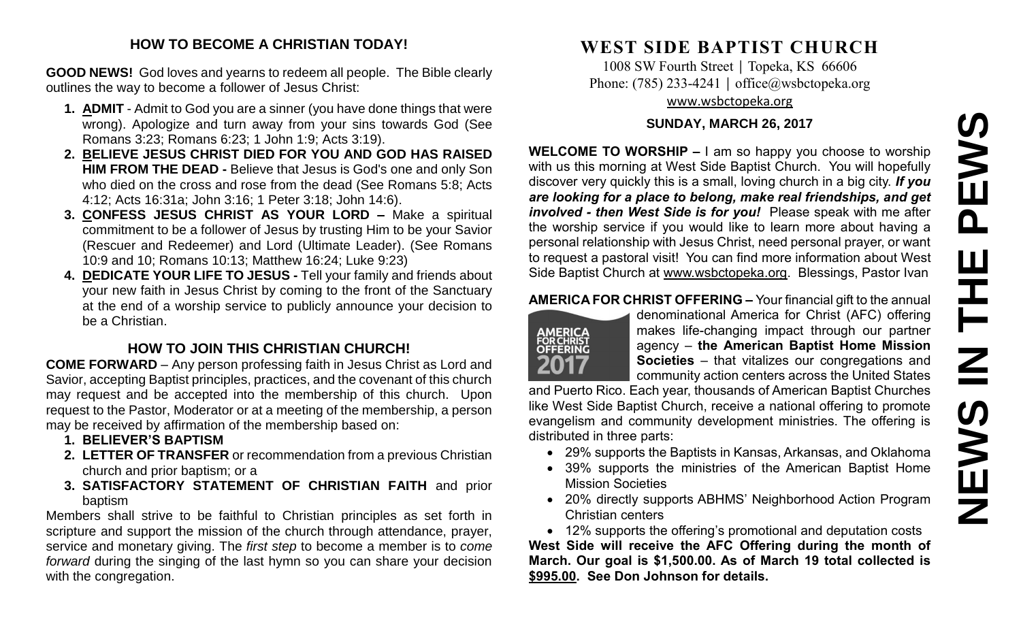#### **HOW TO BECOME A CHRISTIAN TODAY!**

**GOOD NEWS!** God loves and yearns to redeem all people. The Bible clearly outlines the way to become a follower of Jesus Christ:

- **1. ADMIT** Admit to God you are a sinner (you have done things that were wrong). Apologize and turn away from your sins towards God (See Romans 3:23; Romans 6:23; 1 John 1:9; Acts 3:19).
- **2. BELIEVE JESUS CHRIST DIED FOR YOU AND GOD HAS RAISED HIM FROM THE DEAD -** Believe that Jesus is God's one and only Son who died on the cross and rose from the dead (See Romans 5:8; Acts 4:12; Acts 16:31a; John 3:16; 1 Peter 3:18; John 14:6).
- **3. CONFESS JESUS CHRIST AS YOUR LORD –** Make a spiritual commitment to be a follower of Jesus by trusting Him to be your Savior (Rescuer and Redeemer) and Lord (Ultimate Leader). (See Romans 10:9 and 10; Romans 10:13; Matthew 16:24; Luke 9:23)
- **4. DEDICATE YOUR LIFE TO JESUS -** Tell your family and friends about your new faith in Jesus Christ by coming to the front of the Sanctuary at the end of a worship service to publicly announce your decision to be a Christian.

## **HOW TO JOIN THIS CHRISTIAN CHURCH!**

**COME FORWARD** – Any person professing faith in Jesus Christ as Lord and Savior, accepting Baptist principles, practices, and the covenant of this church may request and be accepted into the membership of this church. Upon request to the Pastor, Moderator or at a meeting of the membership, a person may be received by affirmation of the membership based on:

- **1. BELIEVER'S BAPTISM**
- **2. LETTER OF TRANSFER** or recommendation from a previous Christian church and prior baptism; or a
- **3. SATISFACTORY STATEMENT OF CHRISTIAN FAITH** and prior baptism

Members shall strive to be faithful to Christian principles as set forth in scripture and support the mission of the church through attendance, prayer, service and monetary giving. The *first step* to become a member is to *come forward* during the singing of the last hymn so you can share your decision with the congregation.

# **WEST SIDE BAPTIST CHURCH**

1008 SW Fourth Street | Topeka, KS 66606 Phone: (785) 233-4241 │ [office@wsbctopeka.org](mailto:office@wsbctopeka.org) [www.wsbctopeka.org](http://www.wsbctopeka.org/)

### **SUNDAY, MARCH 26, 2017**

**WELCOME TO WORSHIP –** I am so happy you choose to worship with us this morning at West Side Baptist Church. You will hopefully discover very quickly this is a small, loving church in a big city. *If you are looking for a place to belong, make real friendships, and get involved - then West Side is for you!* Please speak with me after the worship service if you would like to learn more about having a personal relationship with Jesus Christ, need personal prayer, or want to request a pastoral visit! You can find more information about West Side Baptist Church at [www.wsbctopeka.org.](http://www.wsbctopeka.org/) Blessings, Pastor Ivan

### **AMERICA FOR CHRIST OFFERING –** Your financial gift to the annual



denominational America for Christ (AFC) offering makes life-changing impact through our partner agency – **the American Baptist Home Mission Societies** – that vitalizes our congregations and community action centers across the United States

and Puerto Rico. Each year, thousands of American Baptist Churches like West Side Baptist Church, receive a national offering to promote evangelism and community development ministries. The offering is distributed in three parts:

- 29% supports the Baptists in Kansas, Arkansas, and Oklahoma
- 39% supports the ministries of the American Baptist Home Mission Societies
- 20% directly supports ABHMS' Neighborhood Action Program Christian centers

• 12% supports the offering's promotional and deputation costs **West Side will receive the AFC Offering during the month of March. Our goal is \$1,500.00. As of March 19 total collected is \$995.00. See Don Johnson for details.**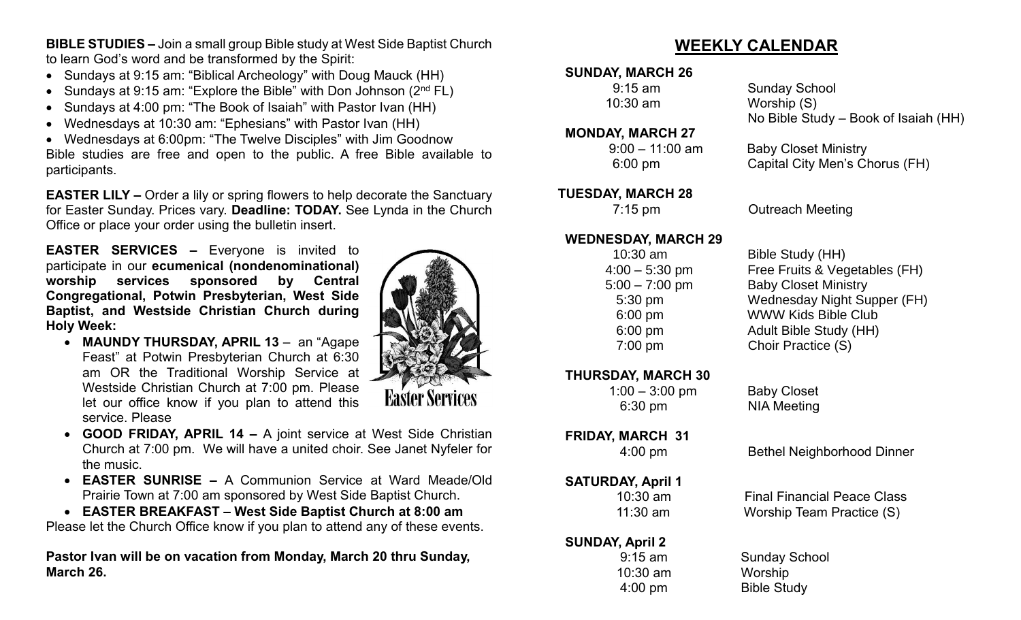**BIBLE STUDIES –** Join a small group Bible study at West Side Baptist Church to learn God's word and be transformed by the Spirit:

- Sundays at 9:15 am: "Biblical Archeology" with Doug Mauck (HH)
- Sundays at 9:15 am: "Explore the Bible" with Don Johnson  $(2^{nd} FL)$
- Sundays at 4:00 pm: "The Book of Isaiah" with Pastor Ivan (HH)
- Wednesdays at 10:30 am: "Ephesians" with Pastor Ivan (HH)

• Wednesdays at 6:00pm: "The Twelve Disciples" with Jim Goodnow Bible studies are free and open to the public. A free Bible available to participants.

**EASTER LILY –** Order a lily or spring flowers to help decorate the Sanctuary for Easter Sunday. Prices vary. **Deadline: TODAY.** See Lynda in the Church Office or place your order using the bulletin insert.

**EASTER SERVICES –** Everyone is invited to participate in our **ecumenical (nondenominational) worship services sponsored by Central Congregational, Potwin Presbyterian, West Side Baptist, and Westside Christian Church during Holy Week:**

• **MAUNDY THURSDAY, APRIL 13** – an "Agape Feast" at Potwin Presbyterian Church at 6:30 am OR the Traditional Worship Service at Westside Christian Church at 7:00 pm. Please let our office know if you plan to attend this service. Please



- **GOOD FRIDAY, APRIL 14 –** A joint service at West Side Christian Church at 7:00 pm. We will have a united choir. See Janet Nyfeler for the music.
- **EASTER SUNRISE –** A Communion Service at Ward Meade/Old Prairie Town at 7:00 am sponsored by West Side Baptist Church.
- **EASTER BREAKFAST – West Side Baptist Church at 8:00 am**

Please let the Church Office know if you plan to attend any of these events.

**Pastor Ivan will be on vacation from Monday, March 20 thru Sunday, March 26.**

# **WEEKLY CALENDAR**

## **SUNDAY, MARCH 26**

9:15 am Sunday School 10:30 am Worship (S) No Bible Study – Book of Isaiah (HH)

## **MONDAY, MARCH 27**

 **TUESDAY, MARCH 28**

### **WEDNESDAY, MARCH 29**

**THURSDAY, MARCH 30** 

 1:00 – 3:00 pm Baby Closet 6:30 pm NIA Meeting

# **FRIDAY, MARCH 31**

### **SATURDAY, April 1**

## **SUNDAY, April 2**

10:30 am Worship

9:00 – 11:00 am Baby Closet Ministry

6:00 pm Capital City Men's Chorus (FH)

7:15 pm Outreach Meeting

 10:30 am Bible Study (HH) 4:00 – 5:30 pm Free Fruits & Vegetables (FH) 5:00 – 7:00 pm Baby Closet Ministry 5:30 pm Wednesday Night Supper (FH) 6:00 pm WWW Kids Bible Club 6:00 pm Adult Bible Study (HH) 7:00 pm Choir Practice (S)

4:00 pm Bethel Neighborhood Dinner

10:30 am Final Financial Peace Class 11:30 am Worship Team Practice (S)

 9:15 am Sunday School 4:00 pm Bible Study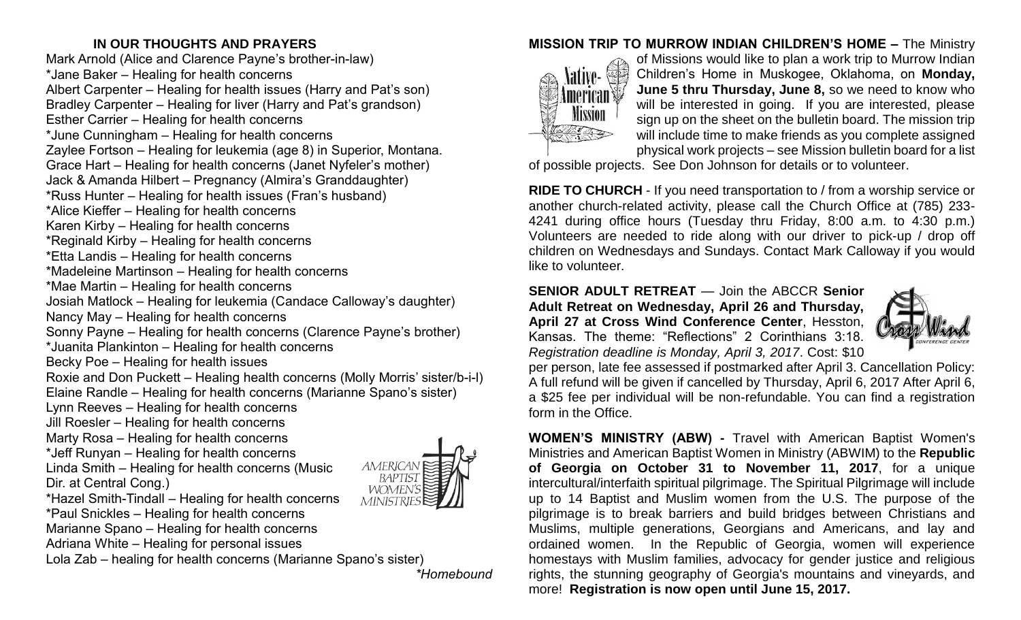## **IN OUR THOUGHTS AND PRAYERS**

Mark Arnold (Alice and Clarence Payne's brother-in-law) \*Jane Baker – Healing for health concerns Albert Carpenter – Healing for health issues (Harry and Pat's son) Bradley Carpenter – Healing for liver (Harry and Pat's grandson) Esther Carrier – Healing for health concerns \*June Cunningham – Healing for health concerns Zaylee Fortson – Healing for leukemia (age 8) in Superior, Montana. Grace Hart – Healing for health concerns (Janet Nyfeler's mother) Jack & Amanda Hilbert – Pregnancy (Almira's Granddaughter) \*Russ Hunter – Healing for health issues (Fran's husband) \*Alice Kieffer – Healing for health concerns Karen Kirby – Healing for health concerns \*Reginald Kirby – Healing for health concerns \*Etta Landis – Healing for health concerns \*Madeleine Martinson – Healing for health concerns \*Mae Martin – Healing for health concerns Josiah Matlock – Healing for leukemia (Candace Calloway's daughter) Nancy May – Healing for health concerns Sonny Payne – Healing for health concerns (Clarence Payne's brother) \*Juanita Plankinton – Healing for health concerns Becky Poe – Healing for health issues Roxie and Don Puckett – Healing health concerns (Molly Morris' sister/b-i-l) Elaine Randle – Healing for health concerns (Marianne Spano's sister) Lynn Reeves – Healing for health concerns Jill Roesler – Healing for health concerns Marty Rosa – Healing for health concerns \*Jeff Runyan – Healing for health concerns Linda Smith – Healing for health concerns (Music AMERICAN Dir. at Central Cong.) WOMEN \*Hazel Smith-Tindall – Healing for health concerns \*Paul Snickles – Healing for health concerns Marianne Spano – Healing for health concerns

Adriana White – Healing for personal issues

Lola Zab – healing for health concerns (Marianne Spano's sister)

*\*Homebound*

## **MISSION TRIP TO MURROW INDIAN CHILDREN'S HOME –** The Ministry



of Missions would like to plan a work trip to Murrow Indian Children's Home in Muskogee, Oklahoma, on **Monday, June 5 thru Thursday, June 8,** so we need to know who will be interested in going. If you are interested, please sign up on the sheet on the bulletin board. The mission trip will include time to make friends as you complete assigned physical work projects – see Mission bulletin board for a list

of possible projects. See Don Johnson for details or to volunteer.

**RIDE TO CHURCH** - If you need transportation to / from a worship service or another church-related activity, please call the Church Office at (785) 233- 4241 during office hours (Tuesday thru Friday, 8:00 a.m. to 4:30 p.m.) Volunteers are needed to ride along with our driver to pick-up / drop off children on Wednesdays and Sundays. Contact Mark Calloway if you would like to volunteer.

**SENIOR ADULT RETREAT** — Join the ABCCR **Senior Adult Retreat on Wednesday, April 26 and Thursday, April 27 at Cross Wind Conference Center**, Hesston, Kansas. The theme: "Reflections" 2 Corinthians 3:18. *Registration deadline is Monday, April 3, 2017*. Cost: \$10



per person, late fee assessed if postmarked after April 3. Cancellation Policy: A full refund will be given if cancelled by Thursday, April 6, 2017 After April 6, a \$25 fee per individual will be non-refundable. You can find a registration form in the Office.

**WOMEN'S MINISTRY (ABW) -** Travel with American Baptist Women's Ministries and American Baptist Women in Ministry (ABWIM) to the **Republic of Georgia on October 31 to November 11, 2017**, for a unique intercultural/interfaith spiritual pilgrimage. The Spiritual Pilgrimage will include up to 14 Baptist and Muslim women from the U.S. The purpose of the pilgrimage is to break barriers and build bridges between Christians and Muslims, multiple generations, Georgians and Americans, and lay and ordained women. In the Republic of Georgia, women will experience homestays with Muslim families, advocacy for gender justice and religious rights, the stunning geography of Georgia's mountains and vineyards, and more! **Registration is now open until June 15, 2017.**